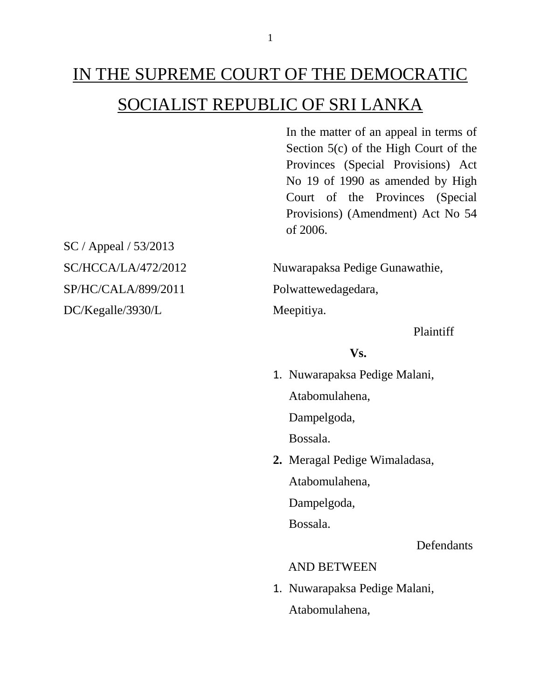Provinces (Special Provisions) Act No 19 of 1990 as amended by High Court of the Provinces (Special Provisions) (Amendment) Act No 54 of 2006.

In the matter of an appeal in terms of Section 5(c) of the High Court of the

SC / Appeal / 53/2013 SP/HC/CALA/899/2011 Polwattewedagedara, DC/Kegalle/3930/L Meepitiya.

SC/HCCA/LA/472/2012 Nuwarapaksa Pedige Gunawathie,

Plaintiff

#### **Vs.**

1. Nuwarapaksa Pedige Malani, Atabomulahena,

Dampelgoda,

Bossala.

**2.** Meragal Pedige Wimaladasa,

Atabomulahena,

Dampelgoda,

Bossala.

**Defendants** 

### AND BETWEEN

1. Nuwarapaksa Pedige Malani, Atabomulahena,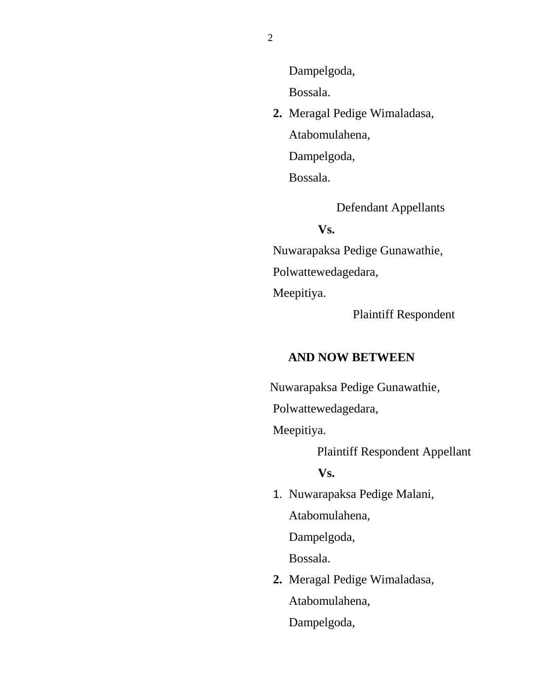Dampelgoda,

Bossala.

**2.** Meragal Pedige Wimaladasa, Atabomulahena, Dampelgoda, Bossala.

Defendant Appellants

#### **Vs.**

 Nuwarapaksa Pedige Gunawathie, Polwattewedagedara, Meepitiya.

Plaintiff Respondent

#### **AND NOW BETWEEN**

Nuwarapaksa Pedige Gunawathie,

Polwattewedagedara,

Meepitiya.

Plaintiff Respondent Appellant

**Vs.**

1. Nuwarapaksa Pedige Malani, Atabomulahena,

Dampelgoda,

Bossala.

**2.** Meragal Pedige Wimaladasa, Atabomulahena, Dampelgoda,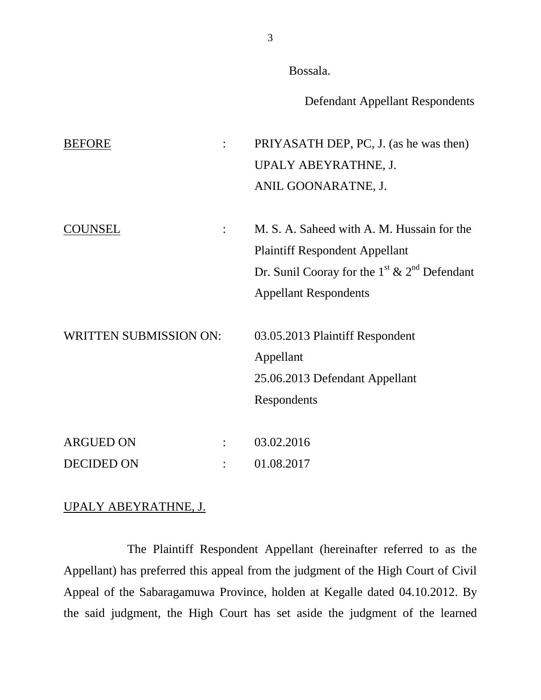Bossala.

Defendant Appellant Respondents

BEFORE : PRIYASATH DEP, PC, J. (as he was then) UPALY ABEYRATHNE, J. ANIL GOONARATNE, J. COUNSEL : M. S. A. Saheed with A. M. Hussain for the Plaintiff Respondent Appellant Dr. Sunil Cooray for the  $1^{\text{st}}$  &  $2^{\text{nd}}$  Defendant Appellant Respondents WRITTEN SUBMISSION ON: 03.05.2013 Plaintiff Respondent Appellant 25.06.2013 Defendant Appellant Respondents ARGUED ON : 03.02.2016 DECIDED ON : 01.08.2017

#### UPALY ABEYRATHNE, J.

The Plaintiff Respondent Appellant (hereinafter referred to as the Appellant) has preferred this appeal from the judgment of the High Court of Civil Appeal of the Sabaragamuwa Province, holden at Kegalle dated 04.10.2012. By the said judgment, the High Court has set aside the judgment of the learned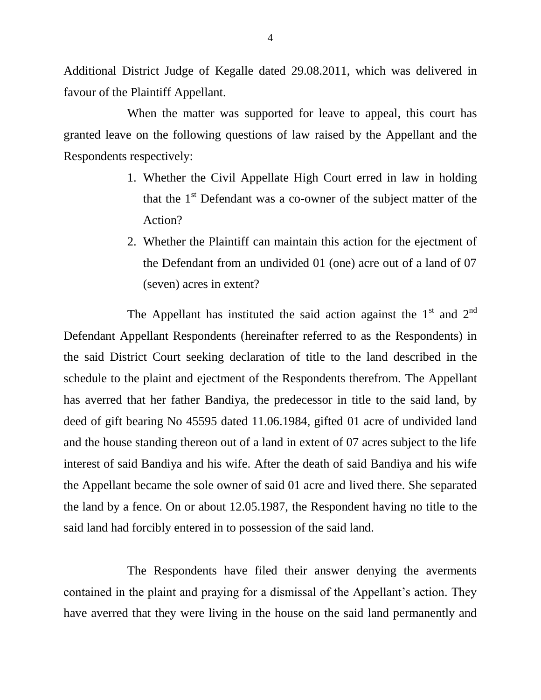Additional District Judge of Kegalle dated 29.08.2011, which was delivered in favour of the Plaintiff Appellant.

When the matter was supported for leave to appeal, this court has granted leave on the following questions of law raised by the Appellant and the Respondents respectively:

- 1. Whether the Civil Appellate High Court erred in law in holding that the  $1<sup>st</sup>$  Defendant was a co-owner of the subject matter of the Action?
- 2. Whether the Plaintiff can maintain this action for the ejectment of the Defendant from an undivided 01 (one) acre out of a land of 07 (seven) acres in extent?

The Appellant has instituted the said action against the  $1<sup>st</sup>$  and  $2<sup>nd</sup>$ Defendant Appellant Respondents (hereinafter referred to as the Respondents) in the said District Court seeking declaration of title to the land described in the schedule to the plaint and ejectment of the Respondents therefrom. The Appellant has averred that her father Bandiya, the predecessor in title to the said land, by deed of gift bearing No 45595 dated 11.06.1984, gifted 01 acre of undivided land and the house standing thereon out of a land in extent of 07 acres subject to the life interest of said Bandiya and his wife. After the death of said Bandiya and his wife the Appellant became the sole owner of said 01 acre and lived there. She separated the land by a fence. On or about 12.05.1987, the Respondent having no title to the said land had forcibly entered in to possession of the said land.

The Respondents have filed their answer denying the averments contained in the plaint and praying for a dismissal of the Appellant's action. They have averred that they were living in the house on the said land permanently and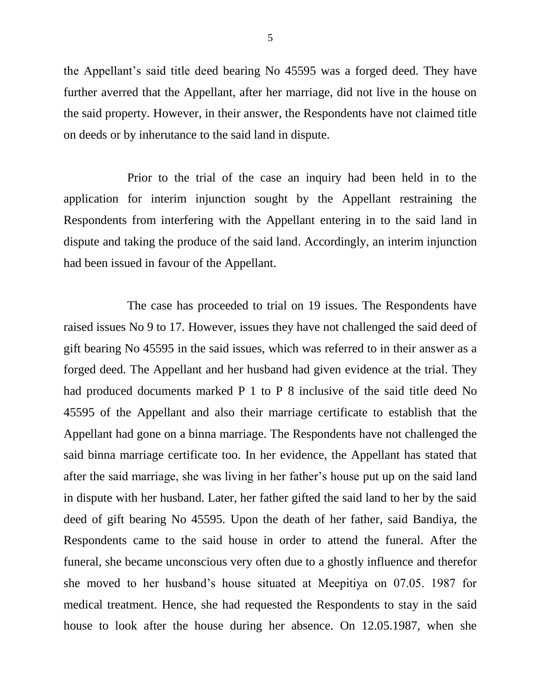the Appellant's said title deed bearing No 45595 was a forged deed. They have further averred that the Appellant, after her marriage, did not live in the house on the said property. However, in their answer, the Respondents have not claimed title on deeds or by inherutance to the said land in dispute.

Prior to the trial of the case an inquiry had been held in to the application for interim injunction sought by the Appellant restraining the Respondents from interfering with the Appellant entering in to the said land in dispute and taking the produce of the said land. Accordingly, an interim injunction had been issued in favour of the Appellant.

The case has proceeded to trial on 19 issues. The Respondents have raised issues No 9 to 17. However, issues they have not challenged the said deed of gift bearing No 45595 in the said issues, which was referred to in their answer as a forged deed. The Appellant and her husband had given evidence at the trial. They had produced documents marked P 1 to P 8 inclusive of the said title deed No 45595 of the Appellant and also their marriage certificate to establish that the Appellant had gone on a binna marriage. The Respondents have not challenged the said binna marriage certificate too. In her evidence, the Appellant has stated that after the said marriage, she was living in her father's house put up on the said land in dispute with her husband. Later, her father gifted the said land to her by the said deed of gift bearing No 45595. Upon the death of her father, said Bandiya, the Respondents came to the said house in order to attend the funeral. After the funeral, she became unconscious very often due to a ghostly influence and therefor she moved to her husband's house situated at Meepitiya on 07.05. 1987 for medical treatment. Hence, she had requested the Respondents to stay in the said house to look after the house during her absence. On 12.05.1987, when she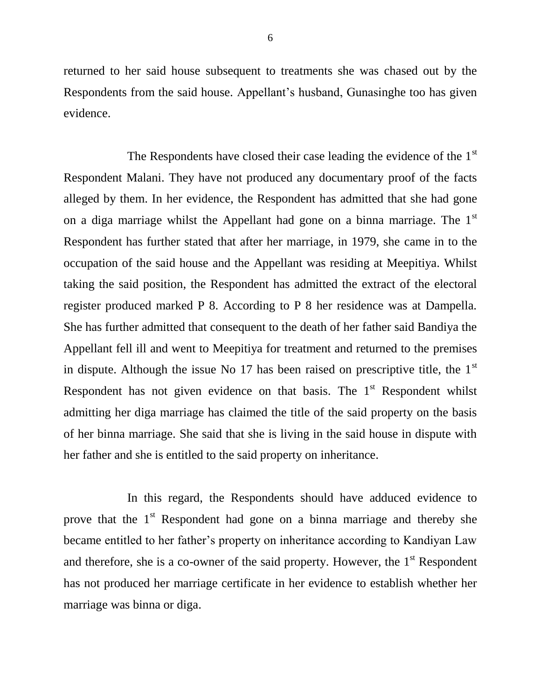returned to her said house subsequent to treatments she was chased out by the Respondents from the said house. Appellant's husband, Gunasinghe too has given evidence.

The Respondents have closed their case leading the evidence of the 1<sup>st</sup> Respondent Malani. They have not produced any documentary proof of the facts alleged by them. In her evidence, the Respondent has admitted that she had gone on a diga marriage whilst the Appellant had gone on a binna marriage. The 1<sup>st</sup> Respondent has further stated that after her marriage, in 1979, she came in to the occupation of the said house and the Appellant was residing at Meepitiya. Whilst taking the said position, the Respondent has admitted the extract of the electoral register produced marked P 8. According to P 8 her residence was at Dampella. She has further admitted that consequent to the death of her father said Bandiya the Appellant fell ill and went to Meepitiya for treatment and returned to the premises in dispute. Although the issue No 17 has been raised on prescriptive title, the  $1<sup>st</sup>$ Respondent has not given evidence on that basis. The  $1<sup>st</sup>$  Respondent whilst admitting her diga marriage has claimed the title of the said property on the basis of her binna marriage. She said that she is living in the said house in dispute with her father and she is entitled to the said property on inheritance.

In this regard, the Respondents should have adduced evidence to prove that the  $1<sup>st</sup>$  Respondent had gone on a binna marriage and thereby she became entitled to her father's property on inheritance according to Kandiyan Law and therefore, she is a co-owner of the said property. However, the  $1<sup>st</sup>$  Respondent has not produced her marriage certificate in her evidence to establish whether her marriage was binna or diga.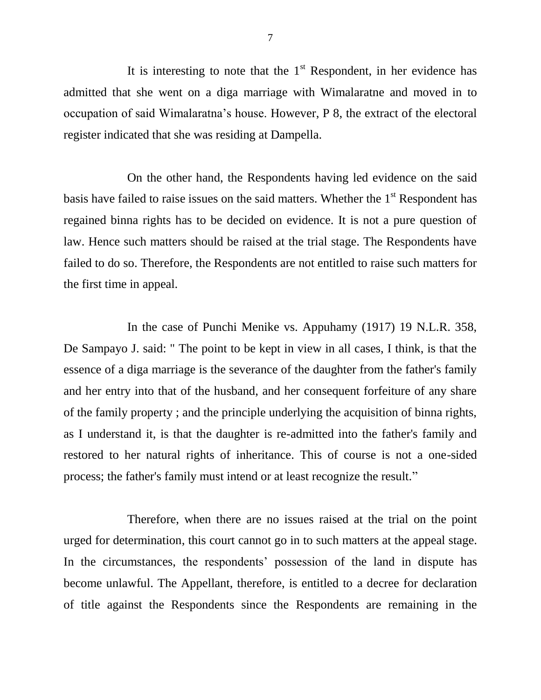It is interesting to note that the  $1<sup>st</sup>$  Respondent, in her evidence has admitted that she went on a diga marriage with Wimalaratne and moved in to occupation of said Wimalaratna's house. However, P 8, the extract of the electoral register indicated that she was residing at Dampella.

On the other hand, the Respondents having led evidence on the said basis have failed to raise issues on the said matters. Whether the 1<sup>st</sup> Respondent has regained binna rights has to be decided on evidence. It is not a pure question of law. Hence such matters should be raised at the trial stage. The Respondents have failed to do so. Therefore, the Respondents are not entitled to raise such matters for the first time in appeal.

In the case of Punchi Menike vs. Appuhamy (1917) 19 N.L.R. 358, De Sampayo J. said: " The point to be kept in view in all cases, I think, is that the essence of a diga marriage is the severance of the daughter from the father's family and her entry into that of the husband, and her consequent forfeiture of any share of the family property ; and the principle underlying the acquisition of binna rights, as I understand it, is that the daughter is re-admitted into the father's family and restored to her natural rights of inheritance. This of course is not a one-sided process; the father's family must intend or at least recognize the result."

Therefore, when there are no issues raised at the trial on the point urged for determination, this court cannot go in to such matters at the appeal stage. In the circumstances, the respondents' possession of the land in dispute has become unlawful. The Appellant, therefore, is entitled to a decree for declaration of title against the Respondents since the Respondents are remaining in the

7